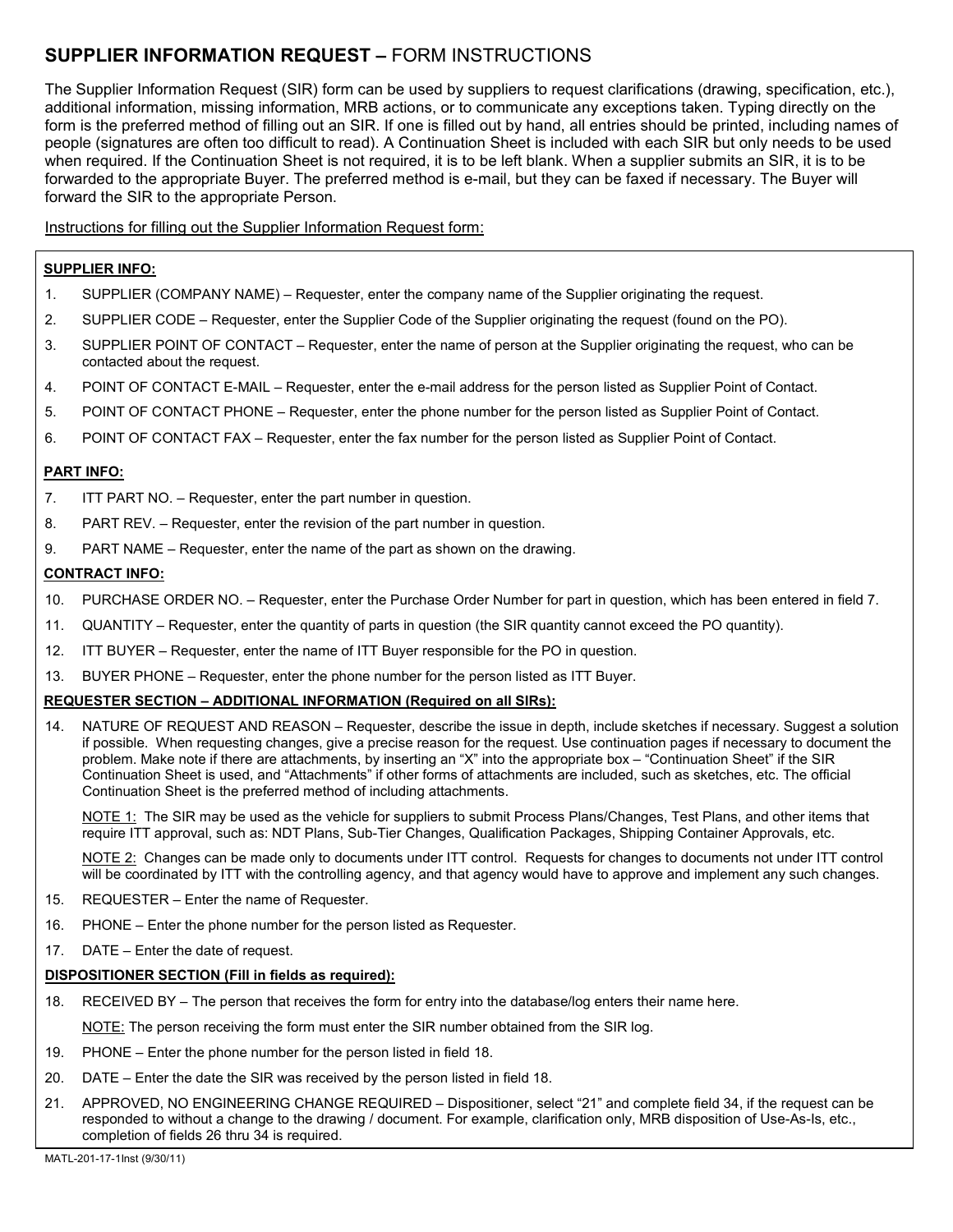# **SUPPLIER INFORMATION REQUEST –** FORM INSTRUCTIONS

The Supplier Information Request (SIR) form can be used by suppliers to request clarifications (drawing, specification, etc.), additional information, missing information, MRB actions, or to communicate any exceptions taken. Typing directly on the form is the preferred method of filling out an SIR. If one is filled out by hand, all entries should be printed, including names of people (signatures are often too difficult to read). A Continuation Sheet is included with each SIR but only needs to be used when required. If the Continuation Sheet is not required, it is to be left blank. When a supplier submits an SIR, it is to be forwarded to the appropriate Buyer. The preferred method is e-mail, but they can be faxed if necessary. The Buyer will forward the SIR to the appropriate Person.

Instructions for filling out the Supplier Information Request form:

#### **SUPPLIER INFO:**

- 1. SUPPLIER (COMPANY NAME) Requester, enter the company name of the Supplier originating the request.
- 2. SUPPLIER CODE Requester, enter the Supplier Code of the Supplier originating the request (found on the PO).
- 3. SUPPLIER POINT OF CONTACT Requester, enter the name of person at the Supplier originating the request, who can be contacted about the request.
- 4. POINT OF CONTACT E-MAIL Requester, enter the e-mail address for the person listed as Supplier Point of Contact.
- 5. POINT OF CONTACT PHONE Requester, enter the phone number for the person listed as Supplier Point of Contact.
- 6. POINT OF CONTACT FAX Requester, enter the fax number for the person listed as Supplier Point of Contact.

#### **PART INFO:**

- 7. ITT PART NO. Requester, enter the part number in question.
- 8. PART REV. Requester, enter the revision of the part number in question.
- 9. PART NAME Requester, enter the name of the part as shown on the drawing.

#### **CONTRACT INFO:**

- 10. PURCHASE ORDER NO. Requester, enter the Purchase Order Number for part in question, which has been entered in field 7.
- 11. QUANTITY Requester, enter the quantity of parts in question (the SIR quantity cannot exceed the PO quantity).
- 12. ITT BUYER Requester, enter the name of ITT Buyer responsible for the PO in question.
- 13. BUYER PHONE Requester, enter the phone number for the person listed as ITT Buyer.

#### **REQUESTER SECTION – ADDITIONAL INFORMATION (Required on all SIRs):**

14. NATURE OF REQUEST AND REASON – Requester, describe the issue in depth, include sketches if necessary. Suggest a solution if possible. When requesting changes, give a precise reason for the request. Use continuation pages if necessary to document the problem. Make note if there are attachments, by inserting an "X" into the appropriate box – "Continuation Sheet" if the SIR Continuation Sheet is used, and "Attachments" if other forms of attachments are included, such as sketches, etc. The official Continuation Sheet is the preferred method of including attachments.

NOTE 1: The SIR may be used as the vehicle for suppliers to submit Process Plans/Changes, Test Plans, and other items that require ITT approval, such as: NDT Plans, Sub-Tier Changes, Qualification Packages, Shipping Container Approvals, etc.

NOTE 2: Changes can be made only to documents under ITT control. Requests for changes to documents not under ITT control will be coordinated by ITT with the controlling agency, and that agency would have to approve and implement any such changes.

- 15. REQUESTER Enter the name of Requester.
- 16. PHONE Enter the phone number for the person listed as Requester.
- 17. DATE Enter the date of request.

### **DISPOSITIONER SECTION (Fill in fields as required):**

- 18. RECEIVED BY The person that receives the form for entry into the database/log enters their name here. NOTE: The person receiving the form must enter the SIR number obtained from the SIR log.
- 19. PHONE Enter the phone number for the person listed in field 18.
- 20. DATE Enter the date the SIR was received by the person listed in field 18.
- 21. APPROVED, NO ENGINEERING CHANGE REQUIRED Dispositioner, select "21" and complete field 34, if the request can be responded to without a change to the drawing / document. For example, clarification only, MRB disposition of Use-As-Is, etc., completion of fields 26 thru 34 is required.